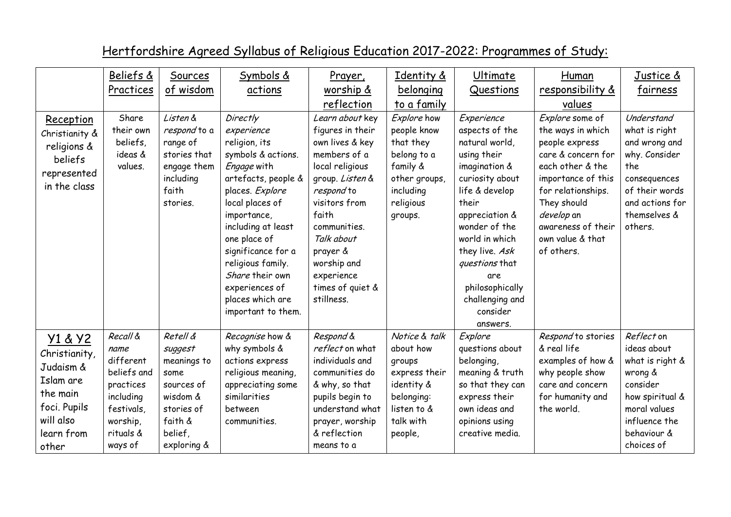|                                                                                                                    | Beliefs &                                                                                                                | Sources                                                                                                                 | Symbols &                                                                                                                                                                                                                                                                                                                | Prayer,                                                                                                                                                                                                                                                       | Identity &                                                                                                               | Ultimate                                                                                                                                                                                                                                                                                   | Human                                                                                                                                                                                                                             | Justice &                                                                                                                                             |
|--------------------------------------------------------------------------------------------------------------------|--------------------------------------------------------------------------------------------------------------------------|-------------------------------------------------------------------------------------------------------------------------|--------------------------------------------------------------------------------------------------------------------------------------------------------------------------------------------------------------------------------------------------------------------------------------------------------------------------|---------------------------------------------------------------------------------------------------------------------------------------------------------------------------------------------------------------------------------------------------------------|--------------------------------------------------------------------------------------------------------------------------|--------------------------------------------------------------------------------------------------------------------------------------------------------------------------------------------------------------------------------------------------------------------------------------------|-----------------------------------------------------------------------------------------------------------------------------------------------------------------------------------------------------------------------------------|-------------------------------------------------------------------------------------------------------------------------------------------------------|
|                                                                                                                    | Practices                                                                                                                | of wisdom                                                                                                               | actions                                                                                                                                                                                                                                                                                                                  | worship &                                                                                                                                                                                                                                                     | belonging                                                                                                                | Questions                                                                                                                                                                                                                                                                                  | responsibility &                                                                                                                                                                                                                  | fairness                                                                                                                                              |
|                                                                                                                    |                                                                                                                          |                                                                                                                         |                                                                                                                                                                                                                                                                                                                          | reflection                                                                                                                                                                                                                                                    | to a family                                                                                                              |                                                                                                                                                                                                                                                                                            | values                                                                                                                                                                                                                            |                                                                                                                                                       |
| Reception<br>Christianity &<br>religions &<br>beliefs<br>represented<br>in the class                               | Share<br>their own<br>beliefs,<br>ideas &<br>values.                                                                     | Listen &<br>respond to a<br>range of<br>stories that<br>engage them<br>including<br>faith<br>stories.                   | Directly<br>experience<br>religion, its<br>symbols & actions.<br>Engage with<br>artefacts, people &<br>places. Explore<br>local places of<br>importance,<br>including at least<br>one place of<br>significance for a<br>religious family.<br>Share their own<br>experiences of<br>places which are<br>important to them. | Learn about key<br>figures in their<br>own lives & key<br>members of a<br>local religious<br>group. Listen &<br>respond to<br>visitors from<br>faith<br>communities.<br>Talk about<br>prayer &<br>worship and<br>experience<br>times of quiet &<br>stillness. | Explore how<br>people know<br>that they<br>belong to a<br>family &<br>other groups,<br>including<br>religious<br>groups. | Experience<br>aspects of the<br>natural world,<br>using their<br>imagination &<br>curiosity about<br>life & develop<br>their<br>appreciation &<br>wonder of the<br>world in which<br>they live. Ask<br>questions that<br>are<br>philosophically<br>challenging and<br>consider<br>answers. | Explore some of<br>the ways in which<br>people express<br>care & concern for<br>each other & the<br>importance of this<br>for relationships.<br>They should<br>develop an<br>awareness of their<br>own value & that<br>of others. | Understand<br>what is right<br>and wrong and<br>why. Consider<br>the.<br>consequences<br>of their words<br>and actions for<br>themselves &<br>others. |
| Y1 & Y2<br>Christianity,<br>Judaism &<br>Islam are<br>the main<br>foci. Pupils<br>will also<br>learn from<br>other | Recall &<br>name<br>different<br>beliefs and<br>practices<br>including<br>festivals,<br>worship,<br>rituals &<br>ways of | Retell &<br>suggest<br>meanings to<br>some<br>sources of<br>wisdom &<br>stories of<br>faith &<br>belief,<br>exploring & | Recognise how &<br>why symbols &<br>actions express<br>religious meaning,<br>appreciating some<br>similarities<br>between<br>communities.                                                                                                                                                                                | Respond &<br>reflect on what<br>individuals and<br>communities do<br>& why, so that<br>pupils begin to<br>understand what<br>prayer, worship<br>& reflection<br>means to a                                                                                    | Notice & talk<br>about how<br>groups<br>express their<br>identity &<br>belonging:<br>listen to &<br>talk with<br>people, | Explore<br>questions about<br>belonging,<br>meaning & truth<br>so that they can<br>express their<br>own ideas and<br>opinions using<br>creative media.                                                                                                                                     | Respond to stories<br>& real life<br>examples of how &<br>why people show<br>care and concern<br>for humanity and<br>the world.                                                                                                   | Reflect on<br>ideas about<br>what is right &<br>wrong &<br>consider<br>how spiritual &<br>moral values<br>influence the<br>behaviour &<br>choices of  |

## Hertfordshire Agreed Syllabus of Religious Education 2017-2022: Programmes of Study: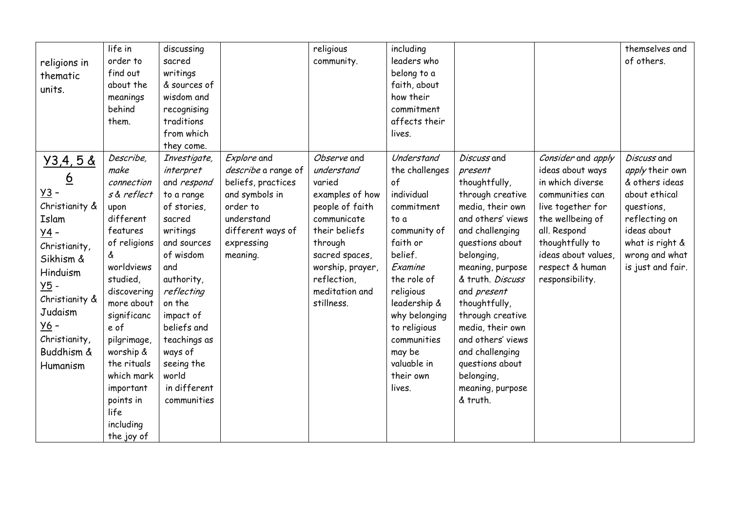| religions in<br>thematic<br>units.                                                                                                                                                                                                                | life in<br>order to<br>find out<br>about the<br>meanings<br>behind<br>them.                                                                                                                                                                                                                              | discussing<br>sacred<br>writings<br>& sources of<br>wisdom and<br>recognising<br>traditions<br>from which<br>they come.                                                                                                                                                           |                                                                                                                                                     | religious<br>community.                                                                                                                                                                                   | including<br>leaders who<br>belong to a<br>faith, about<br>how their<br>commitment<br>affects their<br>lives.                                                                                                                                                        |                                                                                                                                                                                                                                                                                                                                                                                   |                                                                                                                                                                                                                        | themselves and<br>of others.                                                                                                                                              |
|---------------------------------------------------------------------------------------------------------------------------------------------------------------------------------------------------------------------------------------------------|----------------------------------------------------------------------------------------------------------------------------------------------------------------------------------------------------------------------------------------------------------------------------------------------------------|-----------------------------------------------------------------------------------------------------------------------------------------------------------------------------------------------------------------------------------------------------------------------------------|-----------------------------------------------------------------------------------------------------------------------------------------------------|-----------------------------------------------------------------------------------------------------------------------------------------------------------------------------------------------------------|----------------------------------------------------------------------------------------------------------------------------------------------------------------------------------------------------------------------------------------------------------------------|-----------------------------------------------------------------------------------------------------------------------------------------------------------------------------------------------------------------------------------------------------------------------------------------------------------------------------------------------------------------------------------|------------------------------------------------------------------------------------------------------------------------------------------------------------------------------------------------------------------------|---------------------------------------------------------------------------------------------------------------------------------------------------------------------------|
| Y3,4,58<br>$\underline{6}$<br><u>y3</u> -<br>Christianity &<br>Islam<br>$\underline{y4}$ -<br>Christianity,<br>Sikhism &<br>Hinduism<br>$\underline{Y5}$ -<br>Christianity &<br>Judaism<br><u>y6</u> -<br>Christianity,<br>Buddhism &<br>Humanism | Describe,<br>make<br>connection<br>s & reflect<br>upon<br>different<br>features<br>of religions<br>å<br>worldviews<br>studied,<br>discovering<br>more about<br>significanc<br>e of<br>pilgrimage,<br>worship &<br>the rituals<br>which mark<br>important<br>points in<br>life<br>including<br>the joy of | Investigate,<br>interpret<br>and respond<br>to a range<br>of stories,<br>sacred<br>writings<br>and sources<br>of wisdom<br>and<br>authority,<br>reflecting<br>on the<br>impact of<br>beliefs and<br>teachings as<br>ways of<br>seeing the<br>world<br>in different<br>communities | Explore and<br>describe a range of<br>beliefs, practices<br>and symbols in<br>order to<br>understand<br>different ways of<br>expressing<br>meaning. | Observe and<br>understand<br>varied<br>examples of how<br>people of faith<br>communicate<br>their beliefs<br>through<br>sacred spaces,<br>worship, prayer,<br>reflection,<br>meditation and<br>stillness. | Understand<br>the challenges<br>of<br>individual<br>commitment<br>to a<br>community of<br>faith or<br>belief.<br>Examine<br>the role of<br>religious<br>leadership &<br>why belonging<br>to religious<br>communities<br>may be<br>valuable in<br>their own<br>lives. | Discuss and<br>present<br>thoughtfully,<br>through creative<br>media, their own<br>and others' views<br>and challenging<br>questions about<br>belonging,<br>meaning, purpose<br>& truth. Discuss<br>and present<br>thoughtfully,<br>through creative<br>media, their own<br>and others' views<br>and challenging<br>questions about<br>belonging,<br>meaning, purpose<br>& truth. | Consider and apply<br>ideas about ways<br>in which diverse<br>communities can<br>live together for<br>the wellbeing of<br>all. Respond<br>thoughtfully to<br>ideas about values,<br>respect & human<br>responsibility. | Discuss and<br>apply their own<br>& others ideas<br>about ethical<br>questions,<br>reflecting on<br>ideas about<br>what is right &<br>wrong and what<br>is just and fair. |